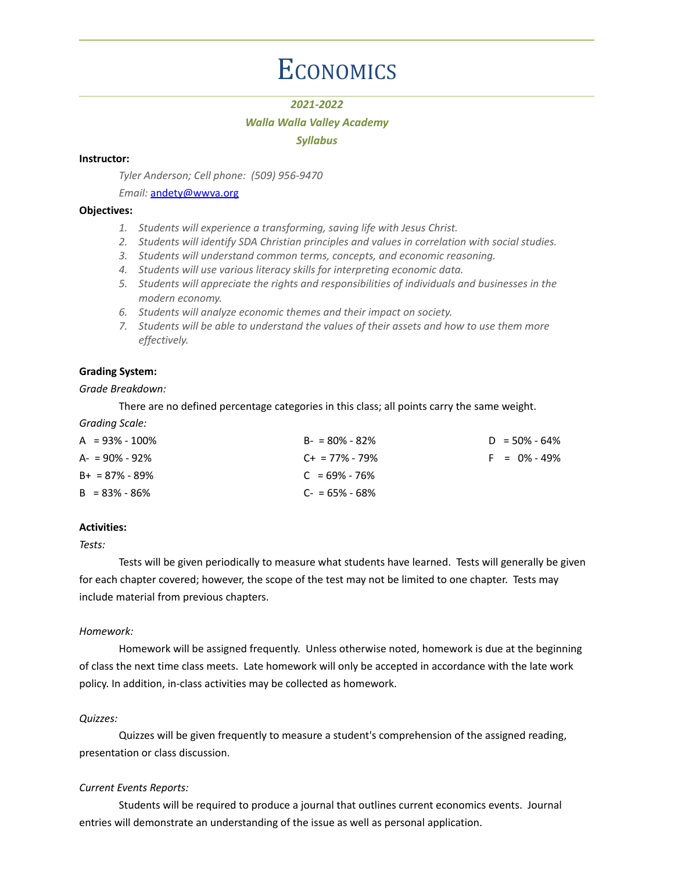# **ECONOMICS**

# *2021-2022*

# *Walla Walla Valley Academy*

### *Syllabus*

# **Instructor:**

*Tyler Anderson; Cell phone: (509) 956-9470*

*Email:* [andety@wwva.org](mailto:andety@wwva.org)

#### **Objectives:**

- *1. Students will experience a transforming, saving life with Jesus Christ.*
- *2. Students will identify SDA Christian principles and values in correlation with social studies.*
- *3. Students will understand common terms, concepts, and economic reasoning.*
- *4. Students will use various literacy skills for interpreting economic data.*
- *5. Students will appreciate the rights and responsibilities of individuals and businesses in the modern economy.*
- *6. Students will analyze economic themes and their impact on society.*
- *7. Students will be able to understand the values of their assets and how to use them more effectively.*

# **Grading System:**

#### *Grade Breakdown:*

There are no defined percentage categories in this class; all points carry the same weight.

*Grading Scale:*

| $A = 93\% - 100\%$ | $B - 80\% - 82\%$   | $D = 50\% - 64\%$ |
|--------------------|---------------------|-------------------|
| $A = 90\% - 92\%$  | $C_{+}$ = 77% - 79% | $F = 0\% - 49\%$  |
| $B+ = 87\% - 89\%$ | $C = 69\% - 76\%$   |                   |
| $B = 83\% - 86\%$  | $C = 65\% - 68\%$   |                   |

### **Activities:**

*Tests:*

Tests will be given periodically to measure what students have learned. Tests will generally be given for each chapter covered; however, the scope of the test may not be limited to one chapter. Tests may include material from previous chapters.

#### *Homework:*

Homework will be assigned frequently. Unless otherwise noted, homework is due at the beginning of class the next time class meets. Late homework will only be accepted in accordance with the late work policy. In addition, in-class activities may be collected as homework.

#### *Quizzes:*

Quizzes will be given frequently to measure a student's comprehension of the assigned reading, presentation or class discussion.

#### *Current Events Reports:*

Students will be required to produce a journal that outlines current economics events. Journal entries will demonstrate an understanding of the issue as well as personal application.